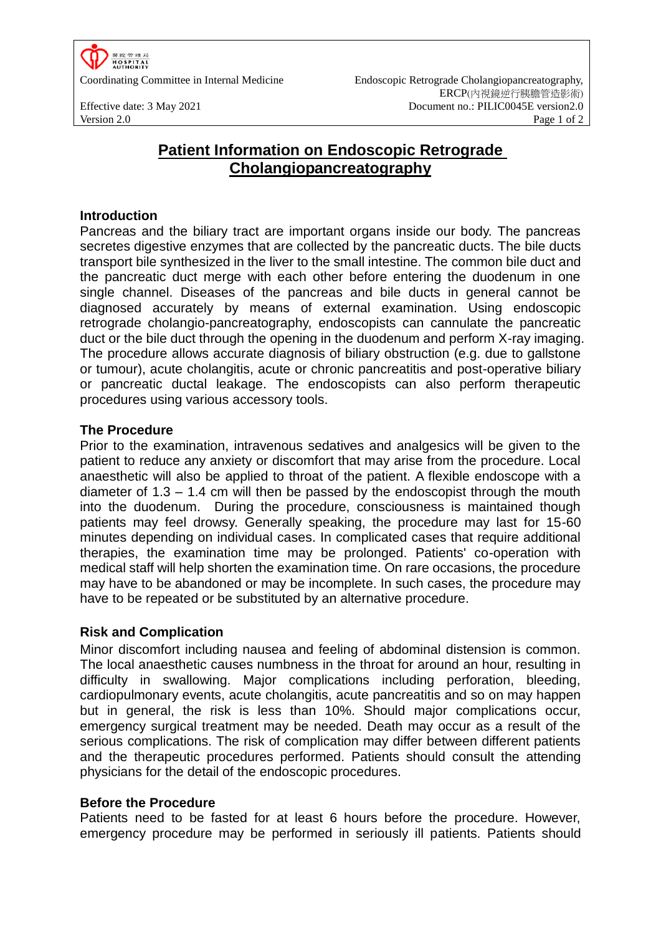

Coordinating Committee in Internal Medicine Endoscopic Retrograde Cholangiopancreatography, ERCP(內視鏡逆行胰膽管造影術) Effective date: 3 May 2021 Document no.: PILIC0045E version2.0 Version 2.0 Page 1 of 2

# **Patient Information on Endoscopic Retrograde Cholangiopancreatography**

# **Introduction**

Pancreas and the biliary tract are important organs inside our body. The pancreas secretes digestive enzymes that are collected by the pancreatic ducts. The bile ducts transport bile synthesized in the liver to the small intestine. The common bile duct and the pancreatic duct merge with each other before entering the duodenum in one single channel. Diseases of the pancreas and bile ducts in general cannot be diagnosed accurately by means of external examination. Using endoscopic retrograde cholangio-pancreatography, endoscopists can cannulate the pancreatic duct or the bile duct through the opening in the duodenum and perform X-ray imaging. The procedure allows accurate diagnosis of biliary obstruction (e.g. due to gallstone or tumour), acute cholangitis, acute or chronic pancreatitis and post-operative biliary or pancreatic ductal leakage. The endoscopists can also perform therapeutic procedures using various accessory tools.

## **The Procedure**

Prior to the examination, intravenous sedatives and analgesics will be given to the patient to reduce any anxiety or discomfort that may arise from the procedure. Local anaesthetic will also be applied to throat of the patient. A flexible endoscope with a diameter of 1.3 – 1.4 cm will then be passed by the endoscopist through the mouth into the duodenum. During the procedure, consciousness is maintained though patients may feel drowsy. Generally speaking, the procedure may last for 15-60 minutes depending on individual cases. In complicated cases that require additional therapies, the examination time may be prolonged. Patients' co-operation with medical staff will help shorten the examination time. On rare occasions, the procedure may have to be abandoned or may be incomplete. In such cases, the procedure may have to be repeated or be substituted by an alternative procedure.

# **Risk and Complication**

Minor discomfort including nausea and feeling of abdominal distension is common. The local anaesthetic causes numbness in the throat for around an hour, resulting in difficulty in swallowing. Major complications including perforation, bleeding, cardiopulmonary events, acute cholangitis, acute pancreatitis and so on may happen but in general, the risk is less than 10%. Should major complications occur, emergency surgical treatment may be needed. Death may occur as a result of the serious complications. The risk of complication may differ between different patients and the therapeutic procedures performed. Patients should consult the attending physicians for the detail of the endoscopic procedures.

#### **Before the Procedure**

Patients need to be fasted for at least 6 hours before the procedure. However, emergency procedure may be performed in seriously ill patients. Patients should